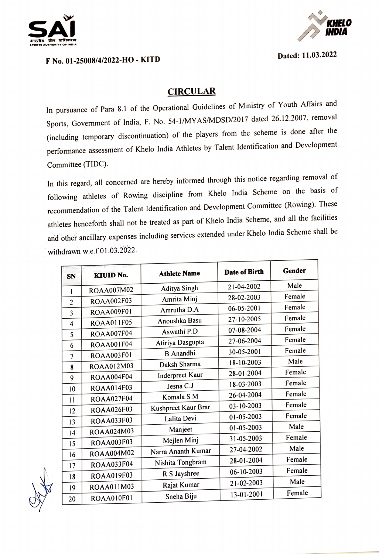



Dated: 11.03.2022

## F No. 01-25008/4/2022-HO - KITD

## **CIRCULAR**

In pursuance of Para 8.1 of the Operational Guidelines of Ministry of Youth Affairs and Sports, Government of India, F. No. 54-1/MYAS/MDSD/2017 dated 26.12.2007, removal including temporary discontinuation) of the players from the scheme is done after the performance assessment of Khelo India Athletes by Talent Identification and Development Committee (TIDC).

In this regard, all concerned are hereby informed through this notice regarding removal of following athletes of Rowing discipline from Khelo India Scheme on the basis of recommendation of the Talent Identification and Development Committee (Rowing). These athletes henceforth shall not be treated as part of Khelo India Scheme, and all the facilities and other ancillary expenses including services extended under Khelo India Scheme shall be withdrawn w.e.f01.03.2022.

| SN             | KIUID No.         | <b>Athlete Name</b> | Date of Birth | Gender |
|----------------|-------------------|---------------------|---------------|--------|
| 1              | ROAA007M02        | Aditya Singh        | 21-04-2002    | Male   |
| $\overline{2}$ | <b>ROAA002F03</b> | Amrita Minj         | 28-02-2003    | Female |
| 3              | ROAA009F01        | Amrutha D.A         | 06-05-2001    | Female |
| 4              | ROAA011F05        | Anoushka Basu       | 27-10-2005    | Female |
| 5              | <b>ROAA007F04</b> | Aswathi P.D         | 07-08-2004    | Female |
| 6              | <b>ROAA001F04</b> | Atiriya Dasgupta    | 27-06-2004    | Female |
| 7              | ROAA003F01        | <b>B</b> Anandhi    | 30-05-2001    | Female |
| 8              | ROAA012M03        | Daksh Sharma        | 18-10-2003    | Male   |
| 9              | <b>ROAA004F04</b> | Inderpreet Kaur     | 28-01-2004    | Female |
|                | ROAA014F03        | Jesna C.J           | 18-03-2003    | Female |
| 10             | <b>ROAA027F04</b> | Komala S M          | 26-04-2004    | Female |
| 11             | <b>ROAA026F03</b> | Kushpreet Kaur Brar | 03-10-2003    | Female |
| 12             | <b>ROAA033F03</b> | Lalita Devi         | 01-05-2003    | Female |
| 13             |                   | Manjeet             | 01-05-2003    | Male   |
| 14             | ROAA024M03        | Mejlen Minj         | 31-05-2003    | Female |
| 15             | <b>ROAA003F03</b> | Narra Ananth Kumar  | 27-04-2002    | Male   |
| 16             | ROAA004M02        | Nishita Tongbram    | 28-01-2004    | Female |
| 17             | <b>ROAA033F04</b> |                     | 06-10-2003    | Female |
| 18             | ROAA019F03        | R S Jayshree        | 21-02-2003    | Male   |
| 19             | ROAA011M03        | Rajat Kumar         | 13-01-2001    | Female |
| 20             | <b>ROAA010F01</b> | Sneha Biju          |               |        |